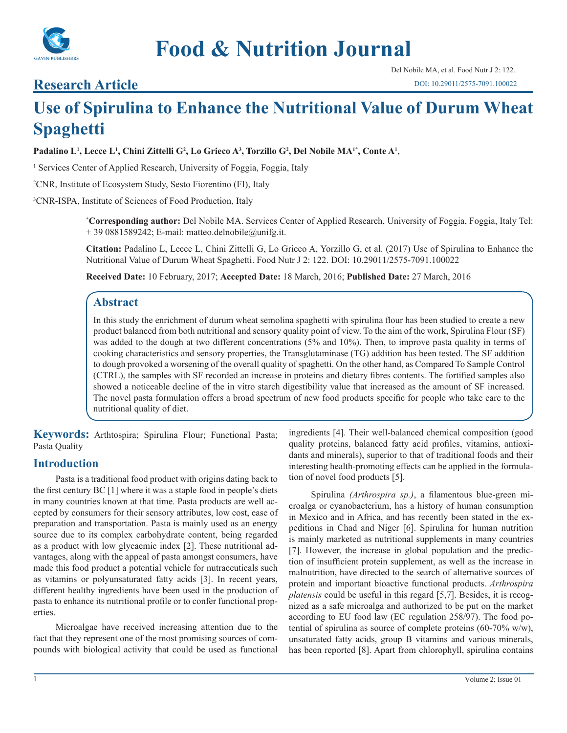

# **Food & Nutrition Journal**

### **Research Article**

## **Use of Spirulina to Enhance the Nutritional Value of Durum Wheat Spaghetti**

**Padalino L1 , Lecce L1 , Chini Zittelli G2 , Lo Grieco A3 , Torzillo G2 , Del Nobile MA1\*, Conte A1** ,

<sup>1</sup> Services Center of Applied Research, University of Foggia, Foggia, Italy

2 CNR, Institute of Ecosystem Study, Sesto Fiorentino (FI), Italy

3 CNR-ISPA, Institute of Sciences of Food Production, Italy

**\* Corresponding author:** Del Nobile MA. Services Center of Applied Research, University of Foggia, Foggia, Italy Tel:  $+ 390881589242$ ; E-mail: matteo.delnobile@unifg.it.

**Citation:** Padalino L, Lecce L, Chini Zittelli G, Lo Grieco A, Yorzillo G, et al. (2017) Use of Spirulina to Enhance the Nutritional Value of Durum Wheat Spaghetti. Food Nutr J 2: 122. DOI: 10.29011/2575-7091.100022

**Received Date:** 10 February, 2017; **Accepted Date:** 18 March, 2016; **Published Date:** 27 March, 2016

#### **Abstract**

In this study the enrichment of durum wheat semolina spaghetti with spirulina flour has been studied to create a new product balanced from both nutritional and sensory quality point of view. To the aim of the work, Spirulina Flour (SF) was added to the dough at two different concentrations (5% and 10%). Then, to improve pasta quality in terms of cooking characteristics and sensory properties, the Transglutaminase (TG) addition has been tested. The SF addition to dough provoked a worsening of the overall quality of spaghetti. On the other hand, as Compared To Sample Control (CTRL), the samples with SF recorded an increase in proteins and dietary fibres contents. The fortified samples also showed a noticeable decline of the in vitro starch digestibility value that increased as the amount of SF increased. The novel pasta formulation offers a broad spectrum of new food products specific for people who take care to the nutritional quality of diet.

**Keywords:** Arthtospira; Spirulina Flour; Functional Pasta; Pasta Quality

#### **Introduction**

Pasta is a traditional food product with origins dating back to the first century BC [1] where it was a staple food in people's diets in many countries known at that time. Pasta products are well accepted by consumers for their sensory attributes, low cost, ease of preparation and transportation. Pasta is mainly used as an energy source due to its complex carbohydrate content, being regarded as a product with low glycaemic index [2]. These nutritional advantages, along with the appeal of pasta amongst consumers, have made this food product a potential vehicle for nutraceuticals such as vitamins or polyunsaturated fatty acids [3]. In recent years, different healthy ingredients have been used in the production of pasta to enhance its nutritional profile or to confer functional properties.

Microalgae have received increasing attention due to the fact that they represent one of the most promising sources of compounds with biological activity that could be used as functional

ingredients [4]. Their well-balanced chemical composition (good quality proteins, balanced fatty acid profiles, vitamins, antioxidants and minerals), superior to that of traditional foods and their interesting health-promoting effects can be applied in the formulation of novel food products [5].

Spirulina *(Arthrospira sp.)*, a filamentous blue-green microalga or cyanobacterium, has a history of human consumption in Mexico and in Africa, and has recently been stated in the expeditions in Chad and Niger [6]. Spirulina for human nutrition is mainly marketed as nutritional supplements in many countries [7]. However, the increase in global population and the prediction of insufficient protein supplement, as well as the increase in malnutrition, have directed to the search of alternative sources of protein and important bioactive functional products. *Arthrospira platensis* could be useful in this regard [5,7]. Besides, it is recognized as a safe microalga and authorized to be put on the market according to EU food law (EC regulation 258/97). The food potential of spirulina as source of complete proteins  $(60-70\% \text{ w/w})$ , unsaturated fatty acids, group B vitamins and various minerals, has been reported [8]. Apart from chlorophyll, spirulina contains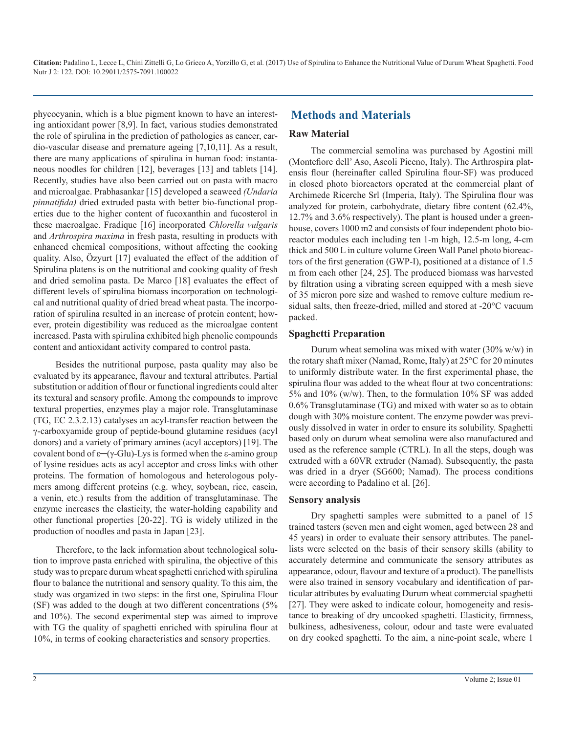phycocyanin, which is a blue pigment known to have an interesting antioxidant power [8,9]. In fact, various studies demonstrated the role of spirulina in the prediction of pathologies as cancer, cardio-vascular disease and premature ageing [7,10,11]. As a result, there are many applications of spirulina in human food: instantaneous noodles for children [12], beverages [13] and tablets [14]. Recently, studies have also been carried out on pasta with macro and microalgae. Prabhasankar [15] developed a seaweed *(Undaria pinnatifida)* dried extruded pasta with better bio-functional properties due to the higher content of fucoxanthin and fucosterol in these macroalgae. Fradique [16] incorporated *Chlorella vulgaris* and *Arthrospira maxima* in fresh pasta, resulting in products with enhanced chemical compositions, without affecting the cooking quality. Also, Özyurt [17] evaluated the effect of the addition of Spirulina platens is on the nutritional and cooking quality of fresh and dried semolina pasta. De Marco [18] evaluates the effect of different levels of spirulina biomass incorporation on technological and nutritional quality of dried bread wheat pasta. The incorporation of spirulina resulted in an increase of protein content; however, protein digestibility was reduced as the microalgae content increased. Pasta with spirulina exhibited high phenolic compounds content and antioxidant activity compared to control pasta.

Besides the nutritional purpose, pasta quality may also be evaluated by its appearance, flavour and textural attributes. Partial substitution or addition of flour or functional ingredients could alter its textural and sensory profile. Among the compounds to improve textural properties, enzymes play a major role. Transglutaminase (TG, EC 2.3.2.13) catalyses an acyl-transfer reaction between the γ-carboxyamide group of peptide-bound glutamine residues (acyl donors) and a variety of primary amines (acyl acceptors) [19]. The covalent bond of ε**─**(γ-Glu)-Lys is formed when the ε-amino group of lysine residues acts as acyl acceptor and cross links with other proteins. The formation of homologous and heterologous polymers among different proteins (e.g. whey, soybean, rice, casein, a venin, etc.) results from the addition of transglutaminase. The enzyme increases the elasticity, the water-holding capability and other functional properties [20-22]. TG is widely utilized in the production of noodles and pasta in Japan [23].

Therefore, to the lack information about technological solution to improve pasta enriched with spirulina, the objective of this study was to prepare durum wheat spaghetti enriched with spirulina flour to balance the nutritional and sensory quality. To this aim, the study was organized in two steps: in the first one, Spirulina Flour (SF) was added to the dough at two different concentrations (5% and 10%). The second experimental step was aimed to improve with TG the quality of spaghetti enriched with spirulina flour at 10%, in terms of cooking characteristics and sensory properties.

#### **Methods and Materials**

#### **Raw Material**

The commercial semolina was purchased by Agostini mill (Montefiore dell' Aso, Ascoli Piceno, Italy). The Arthrospira platensis flour (hereinafter called Spirulina flour-SF) was produced in closed photo bioreactors operated at the commercial plant of Archimede Ricerche Srl (Imperia, Italy). The Spirulina flour was analyzed for protein, carbohydrate, dietary fibre content (62.4%, 12.7% and 3.6% respectively). The plant is housed under a greenhouse, covers 1000 m2 and consists of four independent photo bioreactor modules each including ten 1-m high, 12.5-m long, 4-cm thick and 500 L in culture volume Green Wall Panel photo bioreactors of the first generation (GWP-I), positioned at a distance of 1.5 m from each other [24, 25]. The produced biomass was harvested by filtration using a vibrating screen equipped with a mesh sieve of 35 micron pore size and washed to remove culture medium residual salts, then freeze-dried, milled and stored at -20°C vacuum packed.

#### **Spaghetti Preparation**

Durum wheat semolina was mixed with water  $(30\% \text{ w/w})$  in the rotary shaft mixer (Namad, Rome, Italy) at 25°C for 20 minutes to uniformly distribute water. In the first experimental phase, the spirulina flour was added to the wheat flour at two concentrations: 5% and 10% (w/w). Then, to the formulation 10% SF was added 0.6% Transglutaminase (TG) and mixed with water so as to obtain dough with 30% moisture content. The enzyme powder was previously dissolved in water in order to ensure its solubility. Spaghetti based only on durum wheat semolina were also manufactured and used as the reference sample (CTRL). In all the steps, dough was extruded with a 60VR extruder (Namad). Subsequently, the pasta was dried in a dryer (SG600; Namad). The process conditions were according to Padalino et al. [26].

#### **Sensory analysis**

Dry spaghetti samples were submitted to a panel of 15 trained tasters (seven men and eight women, aged between 28 and 45 years) in order to evaluate their sensory attributes. The panellists were selected on the basis of their sensory skills (ability to accurately determine and communicate the sensory attributes as appearance, odour, flavour and texture of a product). The panellists were also trained in sensory vocabulary and identification of particular attributes by evaluating Durum wheat commercial spaghetti [27]. They were asked to indicate colour, homogeneity and resistance to breaking of dry uncooked spaghetti. Elasticity, firmness, bulkiness, adhesiveness, colour, odour and taste were evaluated on dry cooked spaghetti. To the aim, a nine-point scale, where 1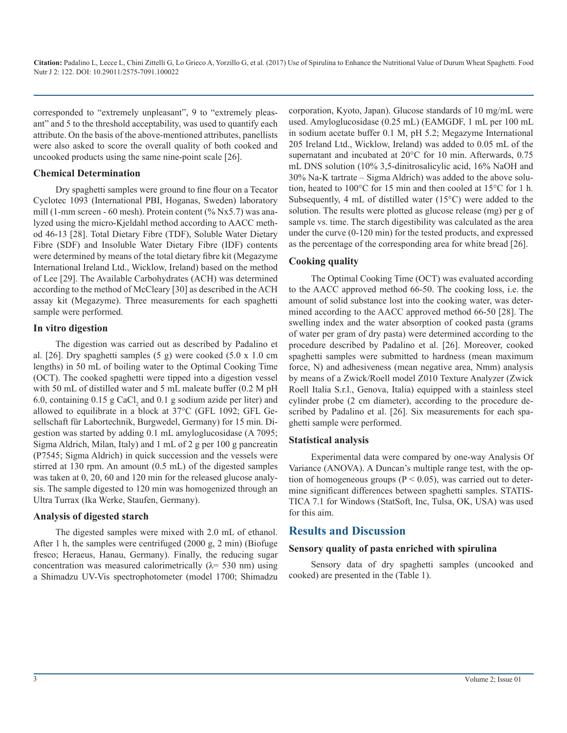corresponded to "extremely unpleasant", 9 to "extremely pleasant" and 5 to the threshold acceptability, was used to quantify each attribute. On the basis of the above-mentioned attributes, panellists were also asked to score the overall quality of both cooked and uncooked products using the same nine-point scale [26].

#### **Chemical Determination**

Dry spaghetti samples were ground to fine flour on a Tecator Cyclotec 1093 (International PBI, Hoganas, Sweden) laboratory mill (1-mm screen - 60 mesh). Protein content (% Nx5.7) was analyzed using the micro-Kjeldahl method according to AACC method 46-13 [28]. Total Dietary Fibre (TDF), Soluble Water Dietary Fibre (SDF) and Insoluble Water Dietary Fibre (IDF) contents were determined by means of the total dietary fibre kit (Megazyme International Ireland Ltd., Wicklow, Ireland) based on the method of Lee [29]. The Available Carbohydrates (ACH) was determined according to the method of McCleary [30] as described in the ACH assay kit (Megazyme). Three measurements for each spaghetti sample were performed.

#### **In vitro digestion**

The digestion was carried out as described by Padalino et al. [26]. Dry spaghetti samples (5 g) were cooked (5.0 x 1.0 cm lengths) in 50 mL of boiling water to the Optimal Cooking Time (OCT). The cooked spaghetti were tipped into a digestion vessel with 50 mL of distilled water and 5 mL maleate buffer (0.2 M pH 6.0, containing  $0.15$  g CaCl<sub>2</sub> and  $0.1$  g sodium azide per liter) and allowed to equilibrate in a block at 37°C (GFL 1092; GFL Gesellschaft für Labortechnik, Burgwedel, Germany) for 15 min. Digestion was started by adding 0.1 mL amyloglucosidase (A 7095; Sigma Aldrich, Milan, Italy) and 1 mL of 2 g per 100 g pancreatin (P7545; Sigma Aldrich) in quick succession and the vessels were stirred at 130 rpm. An amount (0.5 mL) of the digested samples was taken at 0, 20, 60 and 120 min for the released glucose analysis. The sample digested to 120 min was homogenized through an Ultra Turrax (Ika Werke, Staufen, Germany).

#### **Analysis of digested starch**

The digested samples were mixed with 2.0 mL of ethanol. After 1 h, the samples were centrifuged (2000 g, 2 min) (Biofuge fresco; Heraeus, Hanau, Germany). Finally, the reducing sugar concentration was measured calorimetrically ( $\lambda$ = 530 nm) using a Shimadzu UV-Vis spectrophotometer (model 1700; Shimadzu corporation, Kyoto, Japan). Glucose standards of 10 mg/mL were used. Amyloglucosidase (0.25 mL) (EAMGDF, 1 mL per 100 mL in sodium acetate buffer 0.1 M, pH 5.2; Megazyme International 205 Ireland Ltd., Wicklow, Ireland) was added to 0.05 mL of the supernatant and incubated at 20°C for 10 min. Afterwards, 0.75 mL DNS solution (10% 3,5-dinitrosalicylic acid, 16% NaOH and 30% Na-K tartrate – Sigma Aldrich) was added to the above solution, heated to 100°C for 15 min and then cooled at 15°C for 1 h. Subsequently, 4 mL of distilled water (15°C) were added to the solution. The results were plotted as glucose release (mg) per g of sample vs. time. The starch digestibility was calculated as the area under the curve (0-120 min) for the tested products, and expressed as the percentage of the corresponding area for white bread [26].

#### **Cooking quality**

The Optimal Cooking Time (OCT) was evaluated according to the AACC approved method 66-50. The cooking loss, i.e. the amount of solid substance lost into the cooking water, was determined according to the AACC approved method 66-50 [28]. The swelling index and the water absorption of cooked pasta (grams of water per gram of dry pasta) were determined according to the procedure described by Padalino et al. [26]. Moreover, cooked spaghetti samples were submitted to hardness (mean maximum force, N) and adhesiveness (mean negative area, Nmm) analysis by means of a Zwick/Roell model Z010 Texture Analyzer (Zwick Roell Italia S.r.l., Genova, Italia) equipped with a stainless steel cylinder probe (2 cm diameter), according to the procedure described by Padalino et al. [26]. Six measurements for each spaghetti sample were performed.

#### **Statistical analysis**

Experimental data were compared by one-way Analysis Of Variance (ANOVA). A Duncan's multiple range test, with the option of homogeneous groups ( $P < 0.05$ ), was carried out to determine significant differences between spaghetti samples. STATIS-TICA 7.1 for Windows (StatSoft, Inc, Tulsa, OK, USA) was used for this aim.

#### **Results and Discussion**

#### **Sensory quality of pasta enriched with spirulina**

Sensory data of dry spaghetti samples (uncooked and cooked) are presented in the (Table 1).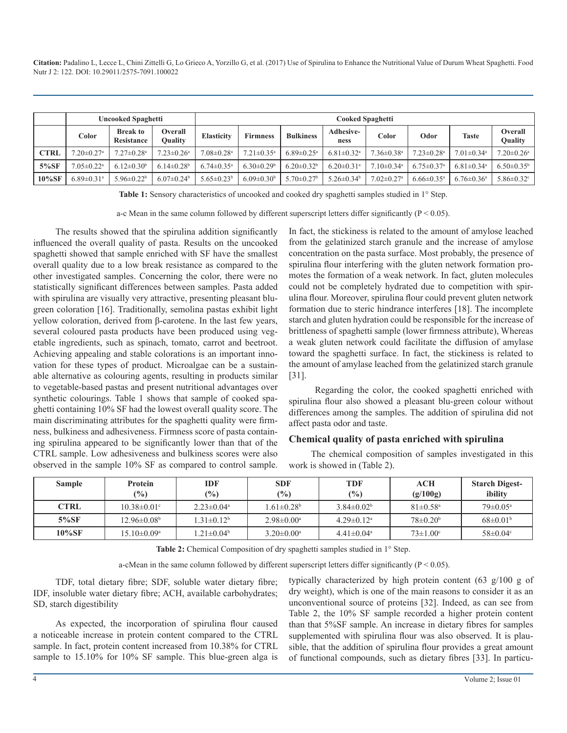|             | <b>Uncooked Spaghetti</b>    |                                      |                                  | <b>Cooked Spaghetti</b>      |                              |                              |                              |                              |                              |                              |                              |
|-------------|------------------------------|--------------------------------------|----------------------------------|------------------------------|------------------------------|------------------------------|------------------------------|------------------------------|------------------------------|------------------------------|------------------------------|
|             | Color                        | <b>Break to</b><br><b>Resistance</b> | <b>Overall</b><br><b>Ouality</b> | <b>Elasticity</b>            | <b>Firmness</b>              | <b>Bulkiness</b>             | <b>Adhesive-</b><br>ness     | Color                        | Odor                         | <b>Taste</b>                 | Overall<br>Quality           |
| <b>CTRL</b> | $7.20 \pm 0.27$ <sup>a</sup> | $7.27 \pm 0.28$ <sup>a</sup>         | $7.23 \pm 0.26$ <sup>a</sup>     | $7.08 \pm 0.28$ <sup>a</sup> | $7.21 \pm 0.35$ <sup>a</sup> | $6.89 \pm 0.25$ <sup>a</sup> | $6.81 \pm 0.32$ <sup>a</sup> | $7.36 \pm 0.38$ <sup>a</sup> | $7.23 \pm 0.28$ <sup>a</sup> | $7.01 \pm 0.34$ <sup>a</sup> | $7.20 \pm 0.26$ <sup>a</sup> |
| $5\%$ SF    | $7.05 \pm 0.22$ <sup>a</sup> | $6.12\pm0.30b$                       | $6.14\pm0.28b$                   | $6.74 \pm 0.35$ <sup>a</sup> | $6.30 \pm 0.29$ <sup>b</sup> | $6.20 \pm 0.32^b$            | $6.20 \pm 0.31$ <sup>a</sup> | $7.10 \pm 0.34$ <sup>a</sup> | $6.75 \pm 0.37$ <sup>a</sup> | $6.81 \pm 0.34$ <sup>a</sup> | $6.50 \pm 0.35^b$            |
| $10\%$ SF   | $6.89 \pm 0.31$ <sup>a</sup> | 5.96 $\pm$ 0.22 <sup>b</sup>         | $6.07\pm0.24b$                   | $5.65 \pm 0.23^b$            | $6.09 \pm 0.30$ <sup>b</sup> | $5.70 \pm 0.27$ <sup>b</sup> | $5.26 \pm 0.34$ <sup>b</sup> | $7.02 \pm 0.27$ <sup>a</sup> | $6.66 \pm 0.35$ <sup>a</sup> | $6.76 \pm 0.36$ <sup>a</sup> | $5.86 \pm 0.32$ <sup>c</sup> |

**Table 1:** Sensory characteristics of uncooked and cooked dry spaghetti samples studied in 1° Step.

a-c Mean in the same column followed by different superscript letters differ significantly ( $P < 0.05$ ).

The results showed that the spirulina addition significantly influenced the overall quality of pasta. Results on the uncooked spaghetti showed that sample enriched with SF have the smallest overall quality due to a low break resistance as compared to the other investigated samples. Concerning the color, there were no statistically significant differences between samples. Pasta added with spirulina are visually very attractive, presenting pleasant blugreen coloration [16]. Traditionally, semolina pastas exhibit light yellow coloration, derived from β-carotene. In the last few years, several coloured pasta products have been produced using vegetable ingredients, such as spinach, tomato, carrot and beetroot. Achieving appealing and stable colorations is an important innovation for these types of product. Microalgae can be a sustainable alternative as colouring agents, resulting in products similar to vegetable-based pastas and present nutritional advantages over synthetic colourings. Table 1 shows that sample of cooked spaghetti containing 10% SF had the lowest overall quality score. The main discriminating attributes for the spaghetti quality were firmness, bulkiness and adhesiveness. Firmness score of pasta containing spirulina appeared to be significantly lower than that of the CTRL sample. Low adhesiveness and bulkiness scores were also observed in the sample 10% SF as compared to control sample.

In fact, the stickiness is related to the amount of amylose leached from the gelatinized starch granule and the increase of amylose concentration on the pasta surface. Most probably, the presence of spirulina flour interfering with the gluten network formation promotes the formation of a weak network. In fact, gluten molecules could not be completely hydrated due to competition with spirulina flour. Moreover, spirulina flour could prevent gluten network formation due to steric hindrance interferes [18]. The incomplete starch and gluten hydration could be responsible for the increase of brittleness of spaghetti sample (lower firmness attribute), Whereas a weak gluten network could facilitate the diffusion of amylase toward the spaghetti surface. In fact, the stickiness is related to the amount of amylase leached from the gelatinized starch granule [31].

Regarding the color, the cooked spaghetti enriched with spirulina flour also showed a pleasant blu-green colour without differences among the samples. The addition of spirulina did not affect pasta odor and taste.

#### **Chemical quality of pasta enriched with spirulina**

The chemical composition of samples investigated in this work is showed in (Table 2).

| <b>Sample</b> | Protein<br>$(\%)$       | IDF<br>$\frac{6}{2}$         | <b>SDF</b><br>$\frac{1}{2}$  | <b>TDF</b><br>(%)            | <b>ACH</b><br>(g/100g)     | <b>Starch Digest-</b><br>ibility |
|---------------|-------------------------|------------------------------|------------------------------|------------------------------|----------------------------|----------------------------------|
| <b>CTRL</b>   | $10.38 \pm 0.01$ °      | $2.23 \pm 0.04$ <sup>a</sup> | $1.61 \pm 0.28$ <sup>b</sup> | $3.84 \pm 0.02^b$            | $81 \pm 0.58$ <sup>a</sup> | $79 \pm 0.05^{\text{a}}$         |
| $5\%$ SF      | 12.96±0.08 <sup>b</sup> | $1.31 \pm 0.12^b$            | $2.98 \pm 0.00^{\text{a}}$   | $4.29 \pm 0.12$ <sup>a</sup> | $78\pm 0.20^{\rm b}$       | $68 \pm 0.01^{\rm b}$            |
| $10\%$ SF     | 15.10±0.09ª             | $1.21 \pm 0.04^b$            | $3.20 \pm 0.00^{\text{a}}$   | $4.41 \pm 0.04$ <sup>a</sup> | $73 \pm 1.00^{\circ}$      | $58 \pm 0.04$ °                  |

Table 2: Chemical Composition of dry spaghetti samples studied in 1° Step.

a-cMean in the same column followed by different superscript letters differ significantly ( $P < 0.05$ ).

TDF, total dietary fibre; SDF, soluble water dietary fibre; IDF, insoluble water dietary fibre; ACH, available carbohydrates; SD, starch digestibility

As expected, the incorporation of spirulina flour caused a noticeable increase in protein content compared to the CTRL sample. In fact, protein content increased from 10.38% for CTRL sample to 15.10% for 10% SF sample. This blue-green alga is

typically characterized by high protein content (63 g/100 g of dry weight), which is one of the main reasons to consider it as an unconventional source of proteins [32]. Indeed, as can see from Table 2, the 10% SF sample recorded a higher protein content than that 5%SF sample. An increase in dietary fibres for samples supplemented with spirulina flour was also observed. It is plausible, that the addition of spirulina flour provides a great amount of functional compounds, such as dietary fibres [33]. In particu-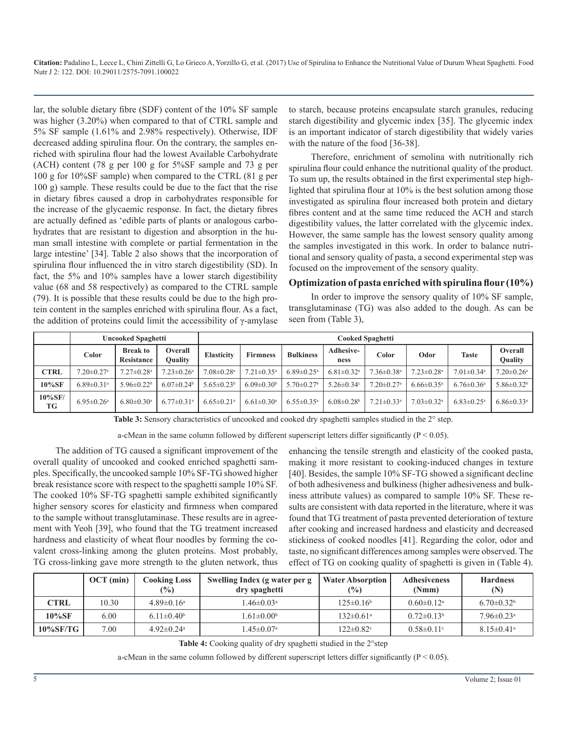lar, the soluble dietary fibre (SDF) content of the 10% SF sample was higher (3.20%) when compared to that of CTRL sample and 5% SF sample (1.61% and 2.98% respectively). Otherwise, IDF decreased adding spirulina flour. On the contrary, the samples enriched with spirulina flour had the lowest Available Carbohydrate (ACH) content (78 g per 100 g for 5%SF sample and 73 g per 100 g for 10%SF sample) when compared to the CTRL (81 g per 100 g) sample. These results could be due to the fact that the rise in dietary fibres caused a drop in carbohydrates responsible for the increase of the glycaemic response. In fact, the dietary fibres are actually defined as 'edible parts of plants or analogous carbohydrates that are resistant to digestion and absorption in the human small intestine with complete or partial fermentation in the large intestine' [34]. Table 2 also shows that the incorporation of spirulina flour influenced the in vitro starch digestibility (SD). In fact, the 5% and 10% samples have a lower starch digestibility value (68 and 58 respectively) as compared to the CTRL sample (79). It is possible that these results could be due to the high protein content in the samples enriched with spirulina flour. As a fact, the addition of proteins could limit the accessibility of  $\gamma$ -amylase

to starch, because proteins encapsulate starch granules, reducing starch digestibility and glycemic index [35]. The glycemic index is an important indicator of starch digestibility that widely varies with the nature of the food [36-38].

Therefore, enrichment of semolina with nutritionally rich spirulina flour could enhance the nutritional quality of the product. To sum up, the results obtained in the first experimental step highlighted that spirulina flour at 10% is the best solution among those investigated as spirulina flour increased both protein and dietary fibres content and at the same time reduced the ACH and starch digestibility values, the latter correlated with the glycemic index. However, the same sample has the lowest sensory quality among the samples investigated in this work. In order to balance nutritional and sensory quality of pasta, a second experimental step was focused on the improvement of the sensory quality.

#### **Optimization of pasta enriched with spirulina flour (10%)**

In order to improve the sensory quality of 10% SF sample, transglutaminase (TG) was also added to the dough. As can be seen from (Table 3),

|                  | <b>Uncooked Spaghetti</b>    |                                      |                              | <b>Cooked Spaghetti</b>      |                              |                              |                              |                              |                              |                              |                              |  |
|------------------|------------------------------|--------------------------------------|------------------------------|------------------------------|------------------------------|------------------------------|------------------------------|------------------------------|------------------------------|------------------------------|------------------------------|--|
|                  | Color                        | <b>Break to</b><br><b>Resistance</b> | Overall<br>Quality           | <b>Elasticity</b>            | <b>Firmness</b>              | <b>Bulkiness</b>             | <b>Adhesive-</b><br>ness     | Color                        | Odor                         | <b>Taste</b>                 | Overall<br>Quality           |  |
| <b>CTRL</b>      | $7.20 \pm 0.27$ <sup>a</sup> | $7.27 \pm 0.28$ <sup>a</sup>         | $7.23 \pm 0.26$ <sup>a</sup> | $7.08 \pm 0.28$ <sup>a</sup> | $7.21 \pm 0.35$ <sup>a</sup> | $6.89 \pm 0.25$ <sup>a</sup> | $6.81 \pm 0.32$ <sup>a</sup> | $7.36 \pm 0.38$ <sup>a</sup> | $7.23 \pm 0.28$ <sup>a</sup> | $7.01 \pm 0.34$ <sup>a</sup> | $7.20 \pm 0.26$ <sup>a</sup> |  |
| 10%SF            | $6.89 \pm 0.31$ <sup>a</sup> | $5.96 \pm 0.22$ <sup>b</sup>         | $6.07\pm0.24$ <sup>b</sup>   | $5.65 \pm 0.23^b$            | $6.09 \pm 0.30^b$            | $5.70 \pm 0.27$ <sup>b</sup> | $5.26 \pm 0.34$ <sup>c</sup> | $7.20 \pm 0.27$ <sup>a</sup> | $6.66 \pm 0.35$ <sup>a</sup> | $6.76 \pm 0.36$ <sup>a</sup> | $5.86 \pm 0.32^b$            |  |
| $10\%$ SF/<br>TG | $6.95 \pm 0.26$ <sup>a</sup> | $6.80 \pm 0.30$ <sup>a</sup>         | $6.77 \pm 0.31$ <sup>a</sup> | $6.65 \pm 0.21$ <sup>a</sup> | $6.61 \pm 0.30$ <sup>a</sup> | $6.55 \pm 0.35$ <sup>a</sup> | $6.08 \pm 0.28$              | $7.21 \pm 0.33$ <sup>a</sup> | $7.03 \pm 0.32$ <sup>a</sup> | $6.83 \pm 0.25$ <sup>a</sup> | $6.86 \pm 0.33$ <sup>a</sup> |  |

**Table 3:** Sensory characteristics of uncooked and cooked dry spaghetti samples studied in the 2° step.

a-cMean in the same column followed by different superscript letters differ significantly ( $P < 0.05$ ).

The addition of TG caused a significant improvement of the overall quality of uncooked and cooked enriched spaghetti samples. Specifically, the uncooked sample 10% SF-TG showed higher break resistance score with respect to the spaghetti sample 10% SF. The cooked 10% SF-TG spaghetti sample exhibited significantly higher sensory scores for elasticity and firmness when compared to the sample without transglutaminase. These results are in agreement with Yeoh [39], who found that the TG treatment increased hardness and elasticity of wheat flour noodles by forming the covalent cross-linking among the gluten proteins. Most probably, TG cross-linking gave more strength to the gluten network, thus

enhancing the tensile strength and elasticity of the cooked pasta, making it more resistant to cooking-induced changes in texture [40]. Besides, the sample 10% SF-TG showed a significant decline of both adhesiveness and bulkiness (higher adhesiveness and bulkiness attribute values) as compared to sample 10% SF. These results are consistent with data reported in the literature, where it was found that TG treatment of pasta prevented deterioration of texture after cooking and increased hardness and elasticity and decreased stickiness of cooked noodles [41]. Regarding the color, odor and taste, no significant differences among samples were observed. The effect of TG on cooking quality of spaghetti is given in (Table 4).

|          | $OCT$ (min) | <b>Cooking Loss</b><br>$\frac{6}{2}$ | Swelling Index (g water per g<br>dry spaghetti | <b>Water Absorption</b><br>(%) | <b>Adhesiveness</b><br>(Nmm) | <b>Hardness</b><br>(N)       |
|----------|-------------|--------------------------------------|------------------------------------------------|--------------------------------|------------------------------|------------------------------|
| CTRL     | 10.30       | $4.89\pm0.16^a$                      | $1.46 \pm 0.03$ <sup>a</sup>                   | $125 \pm 0.16^b$               | $0.60 \pm 0.12$ <sup>a</sup> | $6.70 \pm 0.32^b$            |
| 10%SF    | 6.00        | 6.11 $\pm$ 0.40 <sup>b</sup>         | $1.61 \pm 0.00^b$                              | $132 \pm 0.61$ <sup>a</sup>    | $0.72\pm0.13b$               | $7.96 \pm 0.23$ <sup>a</sup> |
| 10%SF/TG | 7.00        | $4.92 \pm 0.24$ <sup>a</sup>         | $1.45 \pm 0.07$ <sup>a</sup>                   | $122 \pm 0.82$ <sup>c</sup>    | $0.58 \pm 0.11$ °            | $8.15 \pm 0.41$ <sup>a</sup> |

Table 4: Cooking quality of dry spaghetti studied in the 2°step

a-cMean in the same column followed by different superscript letters differ significantly ( $P < 0.05$ ).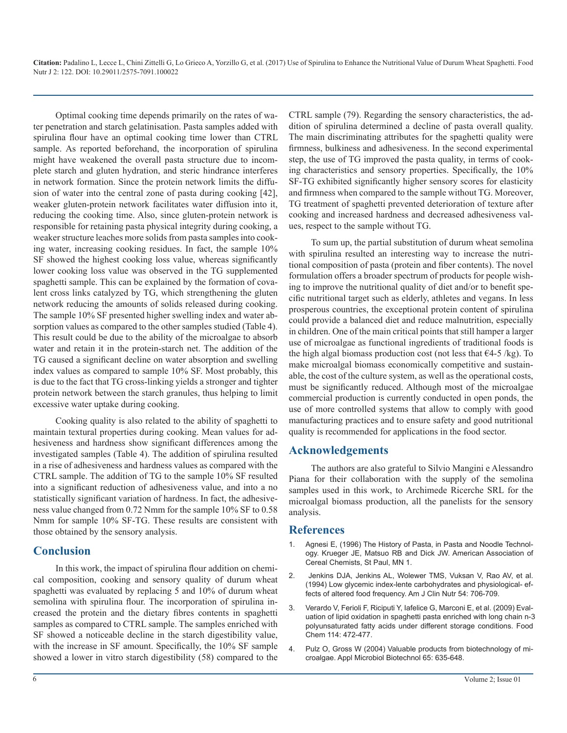Optimal cooking time depends primarily on the rates of water penetration and starch gelatinisation. Pasta samples added with spirulina flour have an optimal cooking time lower than CTRL sample. As reported beforehand, the incorporation of spirulina might have weakened the overall pasta structure due to incomplete starch and gluten hydration, and steric hindrance interferes in network formation. Since the protein network limits the diffusion of water into the central zone of pasta during cooking [42], weaker gluten-protein network facilitates water diffusion into it, reducing the cooking time. Also, since gluten-protein network is responsible for retaining pasta physical integrity during cooking, a weaker structure leaches more solids from pasta samples into cooking water, increasing cooking residues. In fact, the sample 10% SF showed the highest cooking loss value, whereas significantly lower cooking loss value was observed in the TG supplemented spaghetti sample. This can be explained by the formation of covalent cross links catalyzed by TG, which strengthening the gluten network reducing the amounts of solids released during cooking. The sample 10% SF presented higher swelling index and water absorption values as compared to the other samples studied (Table 4). This result could be due to the ability of the microalgae to absorb water and retain it in the protein-starch net. The addition of the TG caused a significant decline on water absorption and swelling index values as compared to sample 10% SF. Most probably, this is due to the fact that TG cross-linking yields a stronger and tighter protein network between the starch granules, thus helping to limit excessive water uptake during cooking.

Cooking quality is also related to the ability of spaghetti to maintain textural properties during cooking. Mean values for adhesiveness and hardness show significant differences among the investigated samples (Table 4). The addition of spirulina resulted in a rise of adhesiveness and hardness values as compared with the CTRL sample. The addition of TG to the sample 10% SF resulted into a significant reduction of adhesiveness value, and into a no statistically significant variation of hardness. In fact, the adhesiveness value changed from 0.72 Nmm for the sample 10% SF to 0.58 Nmm for sample 10% SF-TG. These results are consistent with those obtained by the sensory analysis.

#### **Conclusion**

In this work, the impact of spirulina flour addition on chemical composition, cooking and sensory quality of durum wheat spaghetti was evaluated by replacing 5 and 10% of durum wheat semolina with spirulina flour. The incorporation of spirulina increased the protein and the dietary fibres contents in spaghetti samples as compared to CTRL sample. The samples enriched with SF showed a noticeable decline in the starch digestibility value, with the increase in SF amount. Specifically, the 10% SF sample showed a lower in vitro starch digestibility (58) compared to the CTRL sample (79). Regarding the sensory characteristics, the addition of spirulina determined a decline of pasta overall quality. The main discriminating attributes for the spaghetti quality were firmness, bulkiness and adhesiveness. In the second experimental step, the use of TG improved the pasta quality, in terms of cooking characteristics and sensory properties. Specifically, the 10% SF-TG exhibited significantly higher sensory scores for elasticity and firmness when compared to the sample without TG. Moreover, TG treatment of spaghetti prevented deterioration of texture after cooking and increased hardness and decreased adhesiveness values, respect to the sample without TG.

To sum up, the partial substitution of durum wheat semolina with spirulina resulted an interesting way to increase the nutritional composition of pasta (protein and fiber contents). The novel formulation offers a broader spectrum of products for people wishing to improve the nutritional quality of diet and/or to benefit specific nutritional target such as elderly, athletes and vegans. In less prosperous countries, the exceptional protein content of spirulina could provide a balanced diet and reduce malnutrition, especially in children. One of the main critical points that still hamper a larger use of microalgae as functional ingredients of traditional foods is the high algal biomass production cost (not less that  $\epsilon$ 4-5 /kg). To make microalgal biomass economically competitive and sustainable, the cost of the culture system, as well as the operational costs, must be significantly reduced. Although most of the microalgae commercial production is currently conducted in open ponds, the use of more controlled systems that allow to comply with good manufacturing practices and to ensure safety and good nutritional quality is recommended for applications in the food sector.

#### **Acknowledgements**

The authors are also grateful to Silvio Mangini e Alessandro Piana for their collaboration with the supply of the semolina samples used in this work, to Archimede Ricerche SRL for the microalgal biomass production, all the panelists for the sensory analysis.

#### **References**

- 1. Agnesi E, (1996) The History of Pasta, in Pasta and Noodle Technology. Krueger JE, Matsuo RB and Dick JW. American Association of Cereal Chemists, St Paul, MN 1.
- 2. [Jenkins DJA, Jenkins AL, Wolewer TMS, Vuksan V, Rao AV, et al.](https://www.ncbi.nlm.nih.gov/pubmed/8116554) [\(1994\) Low glycemic index-lente carbohydrates and physiological- ef](https://www.ncbi.nlm.nih.gov/pubmed/8116554)[fects of altered food frequency. Am J Clin Nutr 54: 706-709.](https://www.ncbi.nlm.nih.gov/pubmed/8116554)
- 3. [Verardo V, Ferioli F, Riciputi Y, Iafelice G, Marconi E, et al. \(2009\) Eval](http://www.sciencedirect.com/science/article/pii/S0308814608011631)uation of lipid oxidation in spaghetti pasta enriched with long chain n-[3](http://www.sciencedirect.com/science/article/pii/S0308814608011631)  [polyunsaturated fatty acids under different storage conditions. Food](http://www.sciencedirect.com/science/article/pii/S0308814608011631)  [Chem 114: 472-477.](http://www.sciencedirect.com/science/article/pii/S0308814608011631)
- 4. [Pulz O, Gross W \(2004\) Valuable products from biotechnology of mi](https://link.springer.com/article/10.1007/s00253-004-1647-x)croalgae. Appl Microbiol Biotechnol 65: 635-648.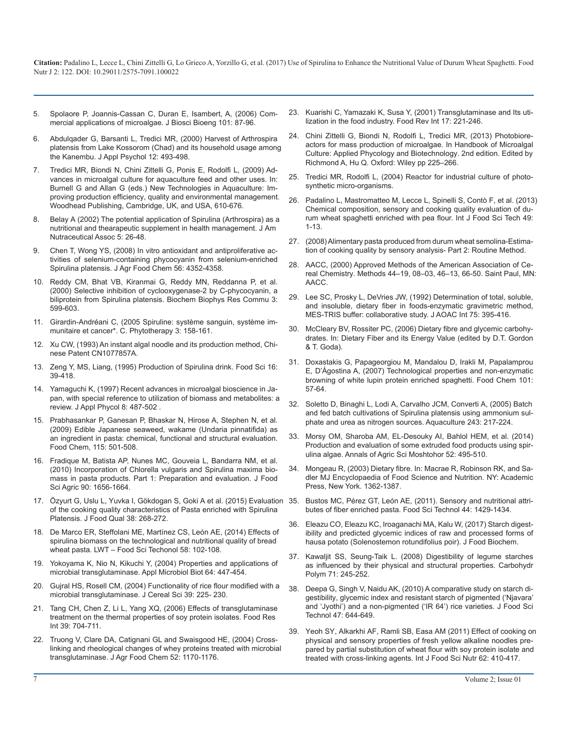- 5. [Spolaore P, Joannis-Cassan C, Duran E, Isambert, A, \(2006\) Com](https://www.ncbi.nlm.nih.gov/pubmed/16569602/)[mercial applications of microalgae. J Biosci Bioeng 101: 87-96](https://www.ncbi.nlm.nih.gov/pubmed/16569602/)[.](http://www.tandfonline.com/doi/abs/10.1081/FRI-100001258)
- 6. [Abdulqader G, Barsanti L, Tredici MR, \(2000\) Harvest of Arthrospira](https://link.springer.com/article/10.1023/A:1008177925799)  [platensis from Lake Kossorom \(Chad\) and its household usage among](https://link.springer.com/article/10.1023/A:1008177925799)  [the Kanembu. J Appl Psychol 12: 493-498.](https://link.springer.com/article/10.1023/A:1008177925799)
- 7. [Tredici MR, Biondi N, Chini Zittelli G, Ponis E, Rodolfi L, \(2009\) Ad](https://books.google.co.in/books?redir_esc=y&id=Byb1AAAAMAAJ&focus=searchwithinvolume&q=Advances+in+microalgal+culture+for+aquaculture+feed+and+other+use+s)[vances in microalgal culture for aquaculture feed and other uses. In:](https://books.google.co.in/books?redir_esc=y&id=Byb1AAAAMAAJ&focus=searchwithinvolume&q=Advances+in+microalgal+culture+for+aquaculture+feed+and+other+use+s) [Burnell G and Allan G \(eds.\) New Technologies in Aquaculture: Im](https://books.google.co.in/books?redir_esc=y&id=Byb1AAAAMAAJ&focus=searchwithinvolume&q=Advances+in+microalgal+culture+for+aquaculture+feed+and+other+use+s)[proving production efficiency, quality and environmental management.](https://books.google.co.in/books?redir_esc=y&id=Byb1AAAAMAAJ&focus=searchwithinvolume&q=Advances+in+microalgal+culture+for+aquaculture+feed+and+other+use+s)  [Woodhead Publishing, Cambridge, UK, and USA, 610-676.](https://books.google.co.in/books?redir_esc=y&id=Byb1AAAAMAAJ&focus=searchwithinvolume&q=Advances+in+microalgal+culture+for+aquaculture+feed+and+other+use+s)
- Belay A (2002) The potential application of Spirulina (Arthrospira) as a [nutritional and thearapeutic supplement in health management. J Am](http://macoc.fr/resources/The+Journal+of+the+American+Nutraceutical+Association+vol+5+spring+2002+Spiruline.pdf)  [Nutraceutical Assoc 5: 26-48.](http://macoc.fr/resources/The+Journal+of+the+American+Nutraceutical+Association+vol+5+spring+2002+Spiruline.pdf)
- 9. [Chen T, Wong YS, \(2008\) In vitro antioxidant and antiproliferative ac](https://www.ncbi.nlm.nih.gov/pubmed/18522403)[tivities of selenium-containing phycocyanin from selenium-enriched](https://www.ncbi.nlm.nih.gov/pubmed/18522403)  [Spirulina platensis. J Agr Food Chem 56: 4352-4358.](https://www.ncbi.nlm.nih.gov/pubmed/18522403)
- 10. [Reddy CM, Bhat VB, Kiranmai G, Reddy MN, Reddanna P, et al.](https://www.ncbi.nlm.nih.gov/pubmed/11062000)  [\(2000\) Selective inhibition of cyclooxygenase-2 by C-phycocyanin, a](https://www.ncbi.nlm.nih.gov/pubmed/11062000)  [biliprotein from Spirulina platensis. Biochem Biophys Res Commu 3:](https://www.ncbi.nlm.nih.gov/pubmed/11062000)  [599-603.](https://www.ncbi.nlm.nih.gov/pubmed/11062000)
- 11. [Girardin-Andréani C, \(2005 Spiruline: système sanguin, système im](https://link.springer.com/article/10.1007/s10298-005-0095-9)[munitaire et cancer\\*. C. Phytotherapy 3: 158-161.](https://link.springer.com/article/10.1007/s10298-005-0095-9)
- 12. Xu CW, (1993) An instant algal noodle and its production method, Chinese Patent CN1077857A.
- 13. Zeng Y, MS, Liang, (1995) Production of Spirulina drink. Food Sci 16: 39-418.
- 14. [Yamaguchi K, \(1997\) Recent advances in microalgal bioscience in Ja](https://www.cabdirect.org/cabdirect/abstract/19971407031)[pan, with special reference to utilization of biomass and metabolites: a](https://www.cabdirect.org/cabdirect/abstract/19971407031)  [review. J Appl Phycol 8: 487-502 .](https://www.cabdirect.org/cabdirect/abstract/19971407031)
- 15. Prabhasankar P, Ganesan P, Bhaskar N, Hirose A, Stephen N, et al. (2009) Edible Japanese seaweed, wakame (Undaria pinnatifida) as an ingredient in pasta: chemical, functional and structural evaluation. Food Chem, 115: 501-508.
- 16. [Fradique M, Batista AP, Nunes MC, Gouveia L, Bandarra NM, et al.](https://www.ncbi.nlm.nih.gov/pubmed/20564448)  [\(2010\) Incorporation of Chlorella vulgaris and Spirulina maxima bio](https://www.ncbi.nlm.nih.gov/pubmed/20564448)[mass in pasta products. Part 1: Preparation and evaluation. J Food](https://www.ncbi.nlm.nih.gov/pubmed/20564448)  [Sci Agric 90: 1656-1664.](https://www.ncbi.nlm.nih.gov/pubmed/20564448)
- 17. [Özyurt G, Uslu L, Yuvka I, Gökdogan S, Goki A et al. \(2015\) Evaluatio](http://onlinelibrary.wiley.com/doi/10.1111/jfq.12142/abstract)n 35. [Bustos MC, Pérez GT, León AE, \(2011\). Sensory and nutritional attri](http://www.sciencedirect.com/science/article/pii/S0023643811000594)[of the cooking quality characteristics of Pasta enriched with Spirulina](http://onlinelibrary.wiley.com/doi/10.1111/jfq.12142/abstract) [Platensis. J Food Qual 38: 268-272.](http://onlinelibrary.wiley.com/doi/10.1111/jfq.12142/abstract)
- 18. [De Marco ER, Steffolani ME, Martínez CS, León AE, \(2014\) Effects o](http://www.sciencedirect.com/science/article/pii/S0023643814001303)[f](http://onlinelibrary.wiley.com/doi/10.1111/jfbc.12355/abstract)  [spirulina biomass on the technological and nutritional quality of bread](http://www.sciencedirect.com/science/article/pii/S0023643814001303)  [wheat pasta. LWT – Food Sci Techonol 58: 102-108.](http://www.sciencedirect.com/science/article/pii/S0023643814001303)
- 19. [Yokoyama K, Nio N, Kikuchi Y, \(2004\) Properties and applications of](https://www.ncbi.nlm.nih.gov/pubmed/14740191)  [microbial transglutaminase. Appl Microbiol Biot 64: 447-454.](https://www.ncbi.nlm.nih.gov/pubmed/14740191)
- 20. [Gujral HS, Rosell CM, \(2004\) Functionality of rice flour modified with a](http://www.sciencedirect.com/science/article/pii/S0733521003000936)  [microbial transglutaminase. J Cereal Sci 39: 225- 230.](http://www.sciencedirect.com/science/article/pii/S0733521003000936)
- 21. [Tang CH, Chen Z, Li L, Yang XQ, \(2006\) Effects of transglutaminase](http://www.sciencedirect.com/science/article/pii/S0963996906000111)  [treatment on the thermal properties of soy protein isolates. Food Res](http://www.sciencedirect.com/science/article/pii/S0963996906000111)  [Int 39: 704-711.](http://www.sciencedirect.com/science/article/pii/S0963996906000111)
- 22. [Truong V, Clare DA, Catignani GL and Swaisgood HE, \(2004\) Cross](https://www.ncbi.nlm.nih.gov/pubmed/14995116)[linking and rheological changes of whey proteins treated with microbia](https://www.ncbi.nlm.nih.gov/pubmed/14995116)l [transglutaminase. J Agr Food Chem 52: 1170-1176.](https://www.ncbi.nlm.nih.gov/pubmed/14995116)
- 23. [Kuarishi C, Yamazaki K, Susa Y, \(2001\) Transglutaminase and Its uti](http://www.tandfonline.com/doi/abs/10.1081/FRI-100001258)lization in the food industry. Food Rev Int 17: 221-246.
- 24. [Chini Zittelli G, Biondi N, Rodolfi L, Tredici MR, \(2013\) Photobiore](http://onlinelibrary.wiley.com/doi/10.1002/9781118567166.ch13/summary)[actors for mass production of microalgae. In Handbook of Microalgal](http://onlinelibrary.wiley.com/doi/10.1002/9781118567166.ch13/summary)  [Culture: Applied Phycology and Biotechnology. 2nd edition. Edited by](http://onlinelibrary.wiley.com/doi/10.1002/9781118567166.ch13/summary)  [Richmond A, Hu Q. Oxford: Wiley pp 225–266.](http://onlinelibrary.wiley.com/doi/10.1002/9781118567166.ch13/summary)
- 25. [Tredici MR, Rodolfi L, \(2004\) Reactor for industrial culture of photo](https://www.lens.org/lens/patent/WO_2004_074423_A2)synthetic micro-organisms.
- 26. [Padalino L, Mastromatteo M, Lecce L, Spinelli S, Contò F, et al. \(2013](http://www.bionity.com/en/publications/632753/chemical-composition-sensory-and-cooking-quality-evaluation-of-durum-wheat-spaghetti-enriched-with-pea-flour.html)) [Chemical composition, sensory and cooking quality evaluation of du](http://www.bionity.com/en/publications/632753/chemical-composition-sensory-and-cooking-quality-evaluation-of-durum-wheat-spaghetti-enriched-with-pea-flour.html)[rum wheat spaghetti enriched with pea flour. Int J Food Sci Tech 49:](http://www.bionity.com/en/publications/632753/chemical-composition-sensory-and-cooking-quality-evaluation-of-durum-wheat-spaghetti-enriched-with-pea-flour.html)  [1-13.](http://www.bionity.com/en/publications/632753/chemical-composition-sensory-and-cooking-quality-evaluation-of-durum-wheat-spaghetti-enriched-with-pea-flour.html)
- 27. (2008) Alimentary pasta produced from durum wheat semolina-Estimation of cooking quality by sensory analysis- Part 2: Routine Method.
- 28. [AACC, \(2000\) Approved Methods of the American Association of Ce](https://books.google.co.in/books?id=xJwQAQAAMAAJ&focus=searchwithinvolume&q=Methods+44%E2%80%9319%2C+08%E2%80%9303%2C+46%E2%80%9313%2C+66-50)[real Chemistry. Methods 44–19, 08–03, 46–13, 66-50. Saint Paul, MN](https://books.google.co.in/books?id=xJwQAQAAMAAJ&focus=searchwithinvolume&q=Methods+44%E2%80%9319%2C+08%E2%80%9303%2C+46%E2%80%9313%2C+66-50): [AACC.](https://books.google.co.in/books?id=xJwQAQAAMAAJ&focus=searchwithinvolume&q=Methods+44%E2%80%9319%2C+08%E2%80%9303%2C+46%E2%80%9313%2C+66-50)
- 29. Lee SC, Prosky L, DeVries JW, (1992) Determination of total, soluble, and insoluble, dietary fiber in foods-enzymatic gravimetric method, MES-TRIS buffer: collaborative study. J AOAC Int 75: 395-416.
- 30. McCleary BV, Rossiter PC, (2006) Dietary fibre and glycemic carbohydrates. In: Dietary Fiber and its Energy Value (edited by D.T. Gordon & T. Goda).
- 31. [Doxastakis G, Papageorgiou M, Mandalou D, Irakli M, Papalamprou](http://www.sciencedirect.com/science/article/pii/S0308814606000434)  [E, D'Ágostina A, \(2007\) Technological properties and non-enzymatic](http://www.sciencedirect.com/science/article/pii/S0308814606000434)  [browning of white lupin protein enriched spaghetti. Food Chem 101:](http://www.sciencedirect.com/science/article/pii/S0308814606000434)  [57-64.](http://www.sciencedirect.com/science/article/pii/S0308814606000434)
- 32. [Soletto D, Binaghi L, Lodi A, Carvalho JCM, Converti A, \(2005\) Batch](http://www.sciencedirect.com/science/article/pii/S0044848604005952)  [and fed batch cultivations of Spirulina platensis using ammonium sul](http://www.sciencedirect.com/science/article/pii/S0044848604005952)[phate and urea as nitrogen sources. Aquaculture 243: 217-224.](http://www.sciencedirect.com/science/article/pii/S0044848604005952)
- 33. [Morsy OM, Sharoba AM, EL-Desouky AI, Bahlol HEM, et al. \(2014\)](http://s3.amazonaws.com/academia.edu.documents/41246520/Production_and_evaluation_of_extruded_fo20160114-26111-195b4h.pdf20160115-19908-1lvwuyw.pdf?AWSAccessKeyId=AKIAIWOWYYGZ2Y53UL3A&Expires=1490018253&Signature=zdcn%2BmnqW40FoP%2FrPXSeiRx%2FdX4%3D&respon)  [Production and evaluation of some extruded food products using spir](http://s3.amazonaws.com/academia.edu.documents/41246520/Production_and_evaluation_of_extruded_fo20160114-26111-195b4h.pdf20160115-19908-1lvwuyw.pdf?AWSAccessKeyId=AKIAIWOWYYGZ2Y53UL3A&Expires=1490018253&Signature=zdcn%2BmnqW40FoP%2FrPXSeiRx%2FdX4%3D&respon)[ulina algae. Annals of Agric Sci Moshtohor 52: 495-510.](http://s3.amazonaws.com/academia.edu.documents/41246520/Production_and_evaluation_of_extruded_fo20160114-26111-195b4h.pdf20160115-19908-1lvwuyw.pdf?AWSAccessKeyId=AKIAIWOWYYGZ2Y53UL3A&Expires=1490018253&Signature=zdcn%2BmnqW40FoP%2FrPXSeiRx%2FdX4%3D&respon)
- 34. Mongeau R, (2003) Dietary fibre. In: Macrae R, Robinson RK, and Sadler MJ Encyclopaedia of Food Science and Nutrition. NY: Academic Press, New York. 1362-1387.
- butes of fiber enriched pasta. Food Sci Technol 44: 1429-1434.
- 36. [Eleazu CO, Eleazu KC, Iroaganachi MA, Kalu W, \(2017\) Starch digest](http://onlinelibrary.wiley.com/doi/10.1111/jfbc.12355/abstract)ibility and predicted glycemic indices of raw and processed forms of [hausa potato \(Solenostemon rotundifolius poir\). J Food Biochem.](http://onlinelibrary.wiley.com/doi/10.1111/jfbc.12355/abstract)
- 37. [Kawaljit SS, Seung-Taik L. \(2008\) Digestibility of legume starches](http://www.sciencedirect.com/science/article/pii/S0144861707002998) [as influenced by their physical and structural properties. Carbohydr](http://www.sciencedirect.com/science/article/pii/S0144861707002998)  [Polym 71: 245-252.](http://www.sciencedirect.com/science/article/pii/S0144861707002998)
- 38. [Deepa G, Singh V, Naidu AK, \(2010\) A comparative study on starch di](https://www.ncbi.nlm.nih.gov/pubmed/23572699)[gestibility, glycemic index and resistant starch of pigmented \('Njavara'](https://www.ncbi.nlm.nih.gov/pubmed/23572699) [and 'Jyothi'\) and a non-pigmented \('IR 64'\) rice varieties. J Food Sci](https://www.ncbi.nlm.nih.gov/pubmed/23572699)  [Technol 47: 644-649.](https://www.ncbi.nlm.nih.gov/pubmed/23572699)
- 39. [Yeoh SY, Alkarkhi AF, Ramli SB, Easa AM \(2011\) Effect of cooking on](https://www.ncbi.nlm.nih.gov/pubmed/21306189)  [physical and sensory properties of fresh yellow alkaline noodles pre](https://www.ncbi.nlm.nih.gov/pubmed/21306189)[pared by partial substitution of wheat flour with soy protein isolate and](https://www.ncbi.nlm.nih.gov/pubmed/21306189)  [treated with cross-linking agents. Int J Food Sci Nutr 62: 410-417.](https://www.ncbi.nlm.nih.gov/pubmed/21306189)